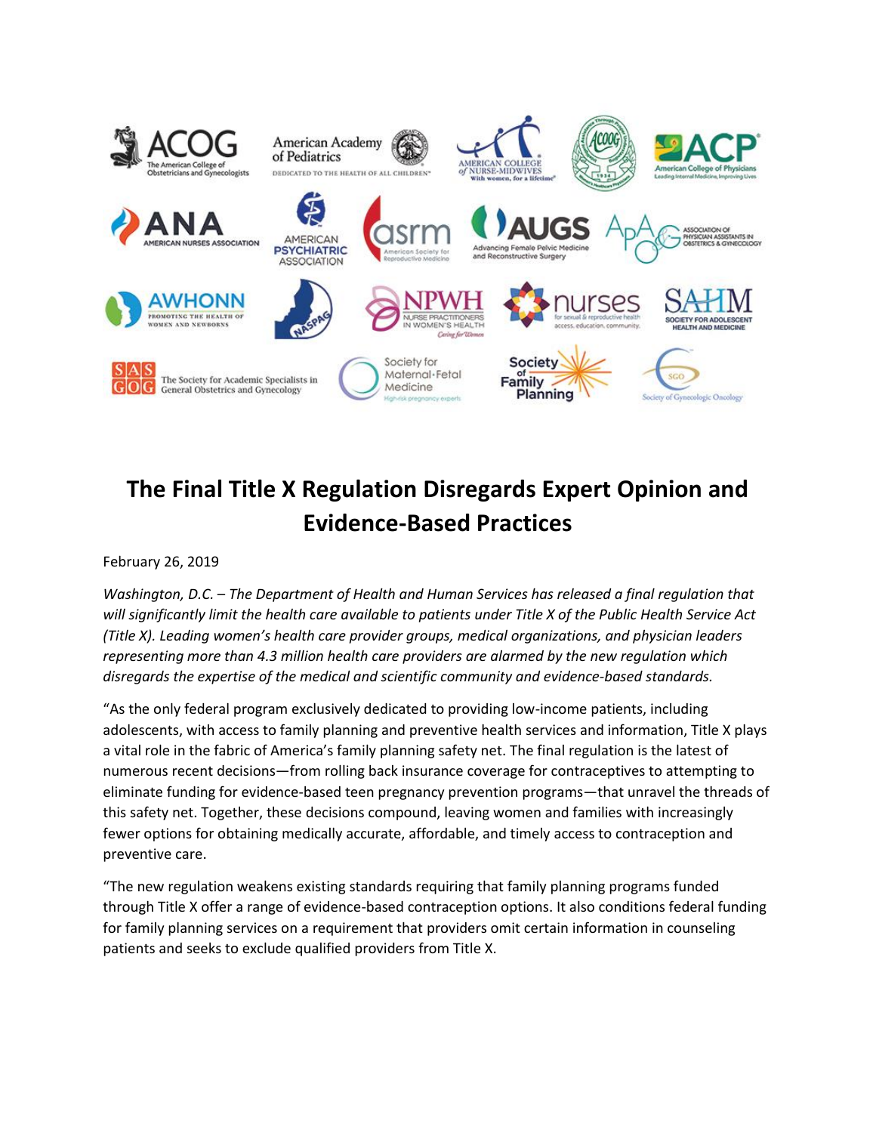

# **The Final Title X Regulation Disregards Expert Opinion and Evidence-Based Practices**

February 26, 2019

*Washington, D.C.* – *The Department of Health and Human Services has released a final regulation that will significantly limit the health care available to patients under Title X of the Public Health Service Act (Title X). Leading women's health care provider groups, medical organizations, and physician leaders representing more than 4.3 million health care providers are alarmed by the new regulation which disregards the expertise of the medical and scientific community and evidence-based standards.*

"As the only federal program exclusively dedicated to providing low-income patients, including adolescents, with access to family planning and preventive health services and information, Title X plays a vital role in the fabric of America's family planning safety net. The final regulation is the latest of numerous recent decisions—from rolling back insurance coverage for contraceptives to attempting to eliminate funding for evidence-based teen pregnancy prevention programs—that unravel the threads of this safety net. Together, these decisions compound, leaving women and families with increasingly fewer options for obtaining medically accurate, affordable, and timely access to contraception and preventive care.

"The new regulation weakens existing standards requiring that family planning programs funded through Title X offer a range of evidence-based contraception options. It also conditions federal funding for family planning services on a requirement that providers omit certain information in counseling patients and seeks to exclude qualified providers from Title X.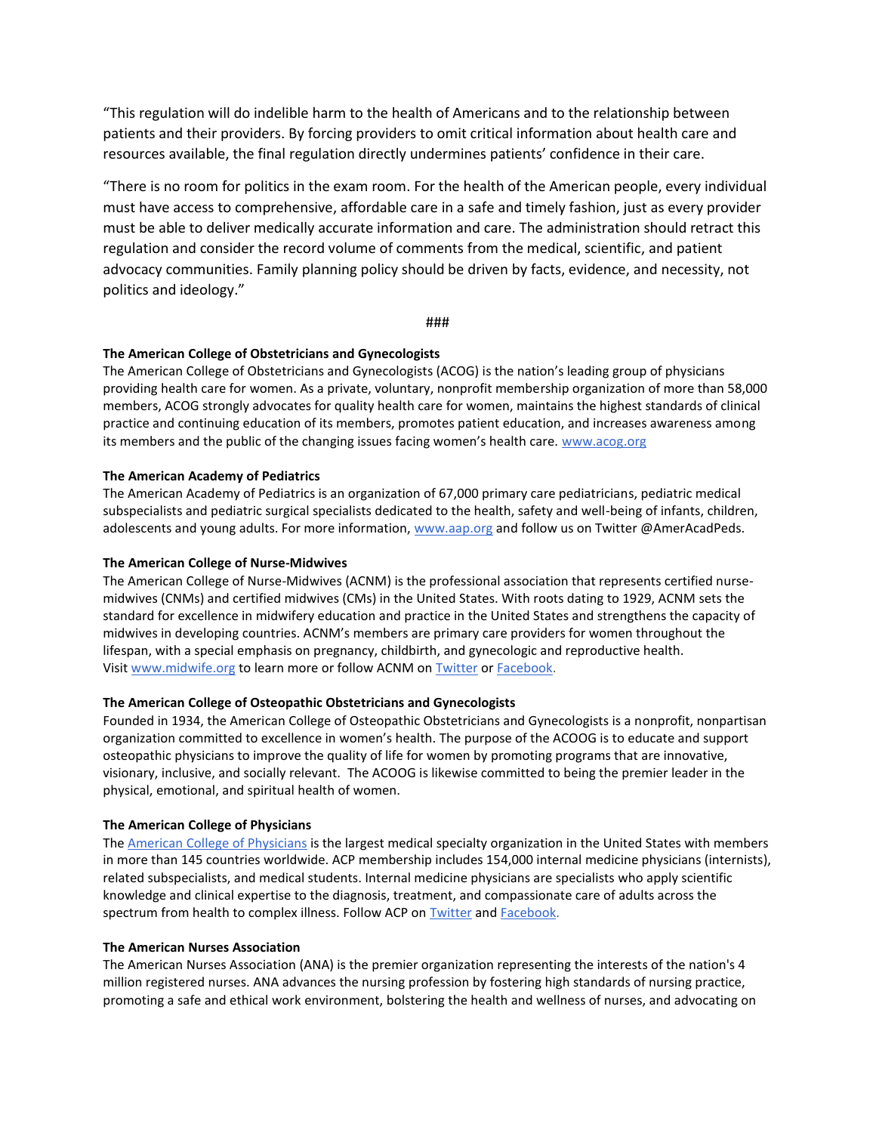"This regulation will do indelible harm to the health of Americans and to the relationship between patients and their providers. By forcing providers to omit critical information about health care and resources available, the final regulation directly undermines patients' confidence in their care.

"There is no room for politics in the exam room. For the health of the American people, every individual must have access to comprehensive, affordable care in a safe and timely fashion, just as every provider must be able to deliver medically accurate information and care. The administration should retract this regulation and consider the record volume of comments from the medical, scientific, and patient advocacy communities. Family planning policy should be driven by facts, evidence, and necessity, not politics and ideology."

###

#### **The American College of Obstetricians and Gynecologists**

The American College of Obstetricians and Gynecologists (ACOG) is the nation's leading group of physicians providing health care for women. As a private, voluntary, nonprofit membership organization of more than 58,000 members, ACOG strongly advocates for quality health care for women, maintains the highest standards of clinical practice and continuing education of its members, promotes patient education, and increases awareness among its members and the public of the changing issues facing women's health care. [www.acog.org](http://www.acog.org/)

## **The American Academy of Pediatrics**

The American Academy of Pediatrics is an organization of 67,000 primary care pediatricians, pediatric medical subspecialists and pediatric surgical specialists dedicated to the health, safety and well-being of infants, children, adolescents and young adults. For more information, [www.aap.org](http://www.aap.org/) and follow us on Twitter @AmerAcadPeds.

## **The American College of Nurse-Midwives**

The American College of Nurse-Midwives (ACNM) is the professional association that represents certified nursemidwives (CNMs) and certified midwives (CMs) in the United States. With roots dating to 1929, ACNM sets the standard for excellence in midwifery education and practice in the United States and strengthens the capacity of midwives in developing countries. ACNM's members are primary care providers for women throughout the lifespan, with a special emphasis on pregnancy, childbirth, and gynecologic and reproductive health. Visit [www.midwife.org](http://www.midwife.org/) to learn more or follow ACNM on [Twitter](https://twitter.com/ACNMmidwives) or [Facebook.](https://www.facebook.com/ACNMmidwives/)

#### **The American College of Osteopathic Obstetricians and Gynecologists**

Founded in 1934, the American College of Osteopathic Obstetricians and Gynecologists is a nonprofit, nonpartisan organization committed to excellence in women's health. The purpose of the ACOOG is to educate and support osteopathic physicians to improve the quality of life for women by promoting programs that are innovative, visionary, inclusive, and socially relevant. The ACOOG is likewise committed to being the premier leader in the physical, emotional, and spiritual health of women.

#### **The American College of Physicians**

The American College of [Physicians](http://www.acponline.org/) is the largest medical specialty organization in the United States with members in more than 145 countries worldwide. ACP membership includes 154,000 internal medicine physicians (internists), related subspecialists, and medical students. Internal medicine physicians are specialists who apply scientific knowledge and clinical expertise to the diagnosis, treatment, and compassionate care of adults across the spectrum from health to complex illness. Follow ACP on [Twitter](http://www.twitter.com/acpinternists) and [Facebook.](http://www.facebook.com/acpinternists)

#### **The American Nurses Association**

The American Nurses Association (ANA) is the premier organization representing the interests of the nation's 4 million registered nurses. ANA advances the nursing profession by fostering high standards of nursing practice, promoting a safe and ethical work environment, bolstering the health and wellness of nurses, and advocating on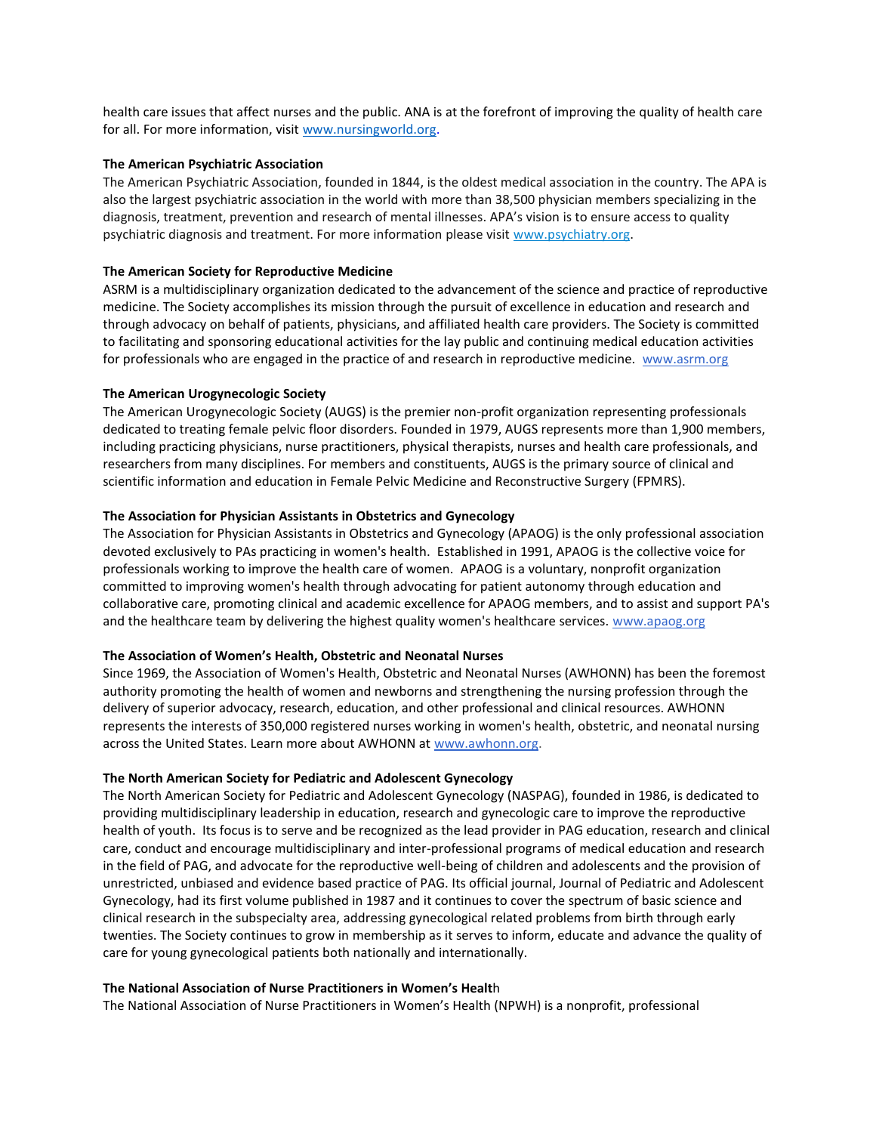health care issues that affect nurses and the public. ANA is at the forefront of improving the quality of health care for all. For more information, visit [www.nursingworld.org.](http://www.nursingworld.org/)

#### **The American Psychiatric Association**

The American Psychiatric Association, founded in 1844, is the oldest medical association in the country. The APA is also the largest psychiatric association in the world with more than 38,500 physician members specializing in the diagnosis, treatment, prevention and research of mental illnesses. APA's vision is to ensure access to quality psychiatric diagnosis and treatment. For more information please visit [www.psychiatry.org.](https://www.psychiatry.org/newsroom/news-releases/www.psychiatry.org)

#### **The American Society for Reproductive Medicine**

ASRM is a multidisciplinary organization dedicated to the advancement of the science and practice of reproductive medicine. The Society accomplishes its mission through the pursuit of excellence in education and research and through advocacy on behalf of patients, physicians, and affiliated health care providers. The Society is committed to facilitating and sponsoring educational activities for the lay public and continuing medical education activities for professionals who are engaged in the practice of and research in reproductive medicine. [www.asrm.org](http://www.asrm.org/)

#### **The American Urogynecologic Society**

The American Urogynecologic Society (AUGS) is the premier non-profit organization representing professionals dedicated to treating female pelvic floor disorders. Founded in 1979, AUGS represents more than 1,900 members, including practicing physicians, nurse practitioners, physical therapists, nurses and health care professionals, and researchers from many disciplines. For members and constituents, AUGS is the primary source of clinical and scientific information and education in Female Pelvic Medicine and Reconstructive Surgery (FPMRS).

#### **The Association for Physician Assistants in Obstetrics and Gynecology**

The Association for Physician Assistants in Obstetrics and Gynecology (APAOG) is the only professional association devoted exclusively to PAs practicing in women's health. Established in 1991, APAOG is the collective voice for professionals working to improve the health care of women. APAOG is a voluntary, nonprofit organization committed to improving women's health through advocating for patient autonomy through education and collaborative care, promoting clinical and academic excellence for APAOG members, and to assist and support PA's and the healthcare team by delivering the highest quality women's healthcare services. [www.apaog.org](http://www.apaog.org/)

#### **The Association of Women's Health, Obstetric and Neonatal Nurses**

Since 1969, the Association of Women's Health, Obstetric and Neonatal Nurses (AWHONN) has been the foremost authority promoting the health of women and newborns and strengthening the nursing profession through the delivery of superior advocacy, research, education, and other professional and clinical resources. AWHONN represents the interests of 350,000 registered nurses working in women's health, obstetric, and neonatal nursing across the United States. Learn more about AWHONN at [www.awhonn.org.](http://www.awhonn.org/)

#### **The North American Society for Pediatric and Adolescent Gynecology**

The North American Society for Pediatric and Adolescent Gynecology (NASPAG), founded in 1986, is dedicated to providing multidisciplinary leadership in education, research and gynecologic care to improve the reproductive health of youth. Its focus is to serve and be recognized as the lead provider in PAG education, research and clinical care, conduct and encourage multidisciplinary and inter-professional programs of medical education and research in the field of PAG, and advocate for the reproductive well-being of children and adolescents and the provision of unrestricted, unbiased and evidence based practice of PAG. Its official journal, Journal of Pediatric and Adolescent Gynecology, had its first volume published in 1987 and it continues to cover the spectrum of basic science and clinical research in the subspecialty area, addressing gynecological related problems from birth through early twenties. The Society continues to grow in membership as it serves to inform, educate and advance the quality of care for young gynecological patients both nationally and internationally.

#### **The National Association of Nurse Practitioners in Women's Healt**h

The National Association of Nurse Practitioners in Women's Health (NPWH) is a nonprofit, professional